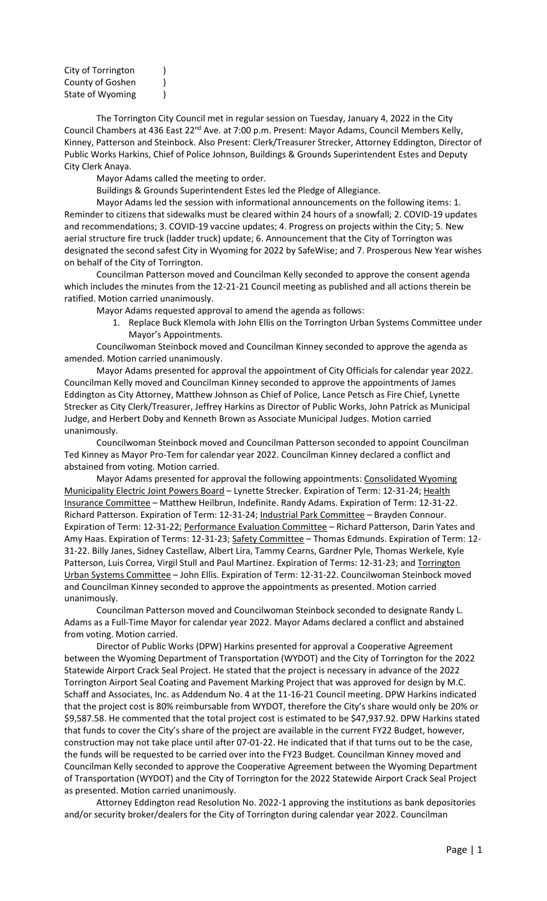| City of Torrington |  |
|--------------------|--|
| County of Goshen   |  |
| State of Wyoming   |  |

The Torrington City Council met in regular session on Tuesday, January 4, 2022 in the City Council Chambers at 436 East 22<sup>nd</sup> Ave. at 7:00 p.m. Present: Mayor Adams, Council Members Kelly, Kinney, Patterson and Steinbock. Also Present: Clerk/Treasurer Strecker, Attorney Eddington, Director of Public Works Harkins, Chief of Police Johnson, Buildings & Grounds Superintendent Estes and Deputy City Clerk Anaya.

Mayor Adams called the meeting to order.

Buildings & Grounds Superintendent Estes led the Pledge of Allegiance.

Mayor Adams led the session with informational announcements on the following items: 1. Reminder to citizens that sidewalks must be cleared within 24 hours of a snowfall; 2. COVID-19 updates and recommendations; 3. COVID-19 vaccine updates; 4. Progress on projects within the City; 5. New aerial structure fire truck (ladder truck) update; 6. Announcement that the City of Torrington was designated the second safest City in Wyoming for 2022 by SafeWise; and 7. Prosperous New Year wishes on behalf of the City of Torrington.

Councilman Patterson moved and Councilman Kelly seconded to approve the consent agenda which includes the minutes from the 12-21-21 Council meeting as published and all actions therein be ratified. Motion carried unanimously.

Mayor Adams requested approval to amend the agenda as follows:

1. Replace Buck Klemola with John Ellis on the Torrington Urban Systems Committee under Mayor's Appointments.

Councilwoman Steinbock moved and Councilman Kinney seconded to approve the agenda as amended. Motion carried unanimously.

Mayor Adams presented for approval the appointment of City Officials for calendar year 2022. Councilman Kelly moved and Councilman Kinney seconded to approve the appointments of James Eddington as City Attorney, Matthew Johnson as Chief of Police, Lance Petsch as Fire Chief, Lynette Strecker as City Clerk/Treasurer, Jeffrey Harkins as Director of Public Works, John Patrick as Municipal Judge, and Herbert Doby and Kenneth Brown as Associate Municipal Judges. Motion carried unanimously.

Councilwoman Steinbock moved and Councilman Patterson seconded to appoint Councilman Ted Kinney as Mayor Pro-Tem for calendar year 2022. Councilman Kinney declared a conflict and abstained from voting. Motion carried.

Mayor Adams presented for approval the following appointments: Consolidated Wyoming Municipality Electric Joint Powers Board - Lynette Strecker. Expiration of Term: 12-31-24; Health Insurance Committee – Matthew Heilbrun, Indefinite. Randy Adams. Expiration of Term: 12-31-22. Richard Patterson. Expiration of Term: 12-31-24; Industrial Park Committee – Brayden Connour. Expiration of Term: 12-31-22; Performance Evaluation Committee – Richard Patterson, Darin Yates and Amy Haas. Expiration of Terms: 12-31-23; Safety Committee - Thomas Edmunds. Expiration of Term: 12-31-22. Billy Janes, Sidney Castellaw, Albert Lira, Tammy Cearns, Gardner Pyle, Thomas Werkele, Kyle Patterson, Luis Correa, Virgil Stull and Paul Martinez. Expiration of Terms: 12-31-23; and Torrington Urban Systems Committee – John Ellis. Expiration of Term: 12-31-22. Councilwoman Steinbock moved and Councilman Kinney seconded to approve the appointments as presented. Motion carried unanimously.

Councilman Patterson moved and Councilwoman Steinbock seconded to designate Randy L. Adams as a Full-Time Mayor for calendar year 2022. Mayor Adams declared a conflict and abstained from voting. Motion carried.

Director of Public Works (DPW) Harkins presented for approval a Cooperative Agreement between the Wyoming Department of Transportation (WYDOT) and the City of Torrington for the 2022 Statewide Airport Crack Seal Project. He stated that the project is necessary in advance of the 2022 Torrington Airport Seal Coating and Pavement Marking Project that was approved for design by M.C. Schaff and Associates, Inc. as Addendum No. 4 at the 11-16-21 Council meeting. DPW Harkins indicated that the project cost is 80% reimbursable from WYDOT, therefore the City's share would only be 20% or \$9,587.58. He commented that the total project cost is estimated to be \$47,937.92. DPW Harkins stated that funds to cover the City's share of the project are available in the current FY22 Budget, however, construction may not take place until after 07-01-22. He indicated that if that turns out to be the case, the funds will be requested to be carried over into the FY23 Budget. Councilman Kinney moved and Councilman Kelly seconded to approve the Cooperative Agreement between the Wyoming Department of Transportation (WYDOT) and the City of Torrington for the 2022 Statewide Airport Crack Seal Project as presented. Motion carried unanimously.

Attorney Eddington read Resolution No. 2022-1 approving the institutions as bank depositories and/or security broker/dealers for the City of Torrington during calendar year 2022. Councilman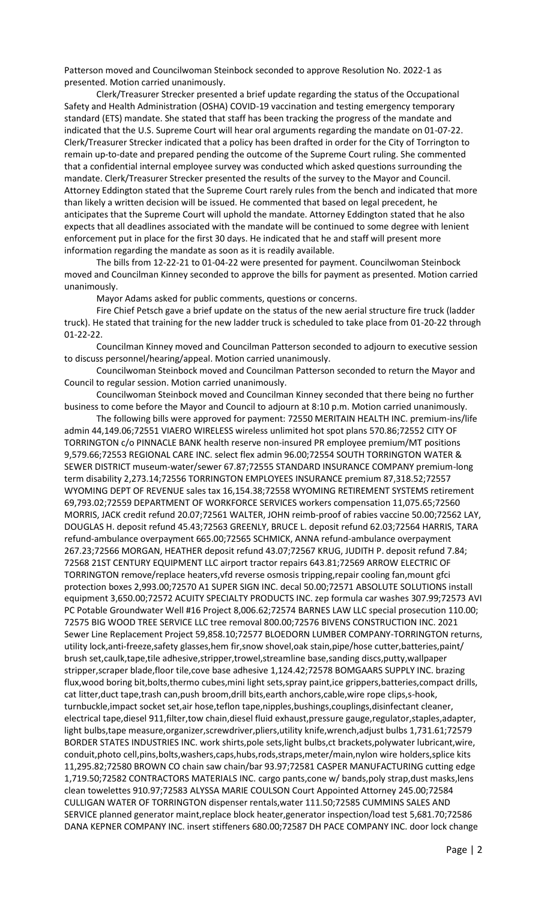Patterson moved and Councilwoman Steinbock seconded to approve Resolution No. 2022-1 as presented. Motion carried unanimously.

Clerk/Treasurer Strecker presented a brief update regarding the status of the Occupational Safety and Health Administration (OSHA) COVID-19 vaccination and testing emergency temporary standard (ETS) mandate. She stated that staff has been tracking the progress of the mandate and indicated that the U.S. Supreme Court will hear oral arguments regarding the mandate on 01-07-22. Clerk/Treasurer Strecker indicated that a policy has been drafted in order for the City of Torrington to remain up-to-date and prepared pending the outcome of the Supreme Court ruling. She commented that a confidential internal employee survey was conducted which asked questions surrounding the mandate. Clerk/Treasurer Strecker presented the results of the survey to the Mayor and Council. Attorney Eddington stated that the Supreme Court rarely rules from the bench and indicated that more than likely a written decision will be issued. He commented that based on legal precedent, he anticipates that the Supreme Court will uphold the mandate. Attorney Eddington stated that he also expects that all deadlines associated with the mandate will be continued to some degree with lenient enforcement put in place for the first 30 days. He indicated that he and staff will present more information regarding the mandate as soon as it is readily available.

The bills from 12-22-21 to 01-04-22 were presented for payment. Councilwoman Steinbock moved and Councilman Kinney seconded to approve the bills for payment as presented. Motion carried unanimously.

Mayor Adams asked for public comments, questions or concerns.

Fire Chief Petsch gave a brief update on the status of the new aerial structure fire truck (ladder truck). He stated that training for the new ladder truck is scheduled to take place from 01-20-22 through 01-22-22.

Councilman Kinney moved and Councilman Patterson seconded to adjourn to executive session to discuss personnel/hearing/appeal. Motion carried unanimously.

Councilwoman Steinbock moved and Councilman Patterson seconded to return the Mayor and Council to regular session. Motion carried unanimously.

Councilwoman Steinbock moved and Councilman Kinney seconded that there being no further business to come before the Mayor and Council to adjourn at 8:10 p.m. Motion carried unanimously.

The following bills were approved for payment: 72550 MERITAIN HEALTH INC. premium-ins/life admin 44,149.06;72551 VIAERO WIRELESS wireless unlimited hot spot plans 570.86;72552 CITY OF TORRINGTON c/o PINNACLE BANK health reserve non-insured PR employee premium/MT positions 9,579.66;72553 REGIONAL CARE INC. select flex admin 96.00;72554 SOUTH TORRINGTON WATER & SEWER DISTRICT museum-water/sewer 67.87;72555 STANDARD INSURANCE COMPANY premium-long term disability 2,273.14;72556 TORRINGTON EMPLOYEES INSURANCE premium 87,318.52;72557 WYOMING DEPT OF REVENUE sales tax 16,154.38;72558 WYOMING RETIREMENT SYSTEMS retirement 69,793.02;72559 DEPARTMENT OF WORKFORCE SERVICES workers compensation 11,075.65;72560 MORRIS, JACK credit refund 20.07;72561 WALTER, JOHN reimb-proof of rabies vaccine 50.00;72562 LAY, DOUGLAS H. deposit refund 45.43;72563 GREENLY, BRUCE L. deposit refund 62.03;72564 HARRIS, TARA refund-ambulance overpayment 665.00;72565 SCHMICK, ANNA refund-ambulance overpayment 267.23;72566 MORGAN, HEATHER deposit refund 43.07;72567 KRUG, JUDITH P. deposit refund 7.84; 72568 21ST CENTURY EQUIPMENT LLC airport tractor repairs 643.81;72569 ARROW ELECTRIC OF TORRINGTON remove/replace heaters,vfd reverse osmosis tripping,repair cooling fan,mount gfci protection boxes 2,993.00;72570 A1 SUPER SIGN INC. decal 50.00;72571 ABSOLUTE SOLUTIONS install equipment 3,650.00;72572 ACUITY SPECIALTY PRODUCTS INC. zep formula car washes 307.99;72573 AVI PC Potable Groundwater Well #16 Project 8,006.62;72574 BARNES LAW LLC special prosecution 110.00; 72575 BIG WOOD TREE SERVICE LLC tree removal 800.00;72576 BIVENS CONSTRUCTION INC. 2021 Sewer Line Replacement Project 59,858.10;72577 BLOEDORN LUMBER COMPANY-TORRINGTON returns, utility lock,anti-freeze,safety glasses,hem fir,snow shovel,oak stain,pipe/hose cutter,batteries,paint/ brush set,caulk,tape,tile adhesive,stripper,trowel,streamline base,sanding discs,putty,wallpaper stripper,scraper blade,floor tile,cove base adhesive 1,124.42;72578 BOMGAARS SUPPLY INC. brazing flux,wood boring bit,bolts,thermo cubes,mini light sets,spray paint,ice grippers,batteries,compact drills, cat litter,duct tape,trash can,push broom,drill bits,earth anchors,cable,wire rope clips,s-hook, turnbuckle,impact socket set,air hose,teflon tape,nipples,bushings,couplings,disinfectant cleaner, electrical tape,diesel 911,filter,tow chain,diesel fluid exhaust,pressure gauge,regulator,staples,adapter, light bulbs,tape measure,organizer,screwdriver,pliers,utility knife,wrench,adjust bulbs 1,731.61;72579 BORDER STATES INDUSTRIES INC. work shirts,pole sets,light bulbs,ct brackets,polywater lubricant,wire, conduit,photo cell,pins,bolts,washers,caps,hubs,rods,straps,meter/main,nylon wire holders,splice kits 11,295.82;72580 BROWN CO chain saw chain/bar 93.97;72581 CASPER MANUFACTURING cutting edge 1,719.50;72582 CONTRACTORS MATERIALS INC. cargo pants,cone w/ bands,poly strap,dust masks,lens clean towelettes 910.97;72583 ALYSSA MARIE COULSON Court Appointed Attorney 245.00;72584 CULLIGAN WATER OF TORRINGTON dispenser rentals,water 111.50;72585 CUMMINS SALES AND SERVICE planned generator maint,replace block heater,generator inspection/load test 5,681.70;72586 DANA KEPNER COMPANY INC. insert stiffeners 680.00;72587 DH PACE COMPANY INC. door lock change